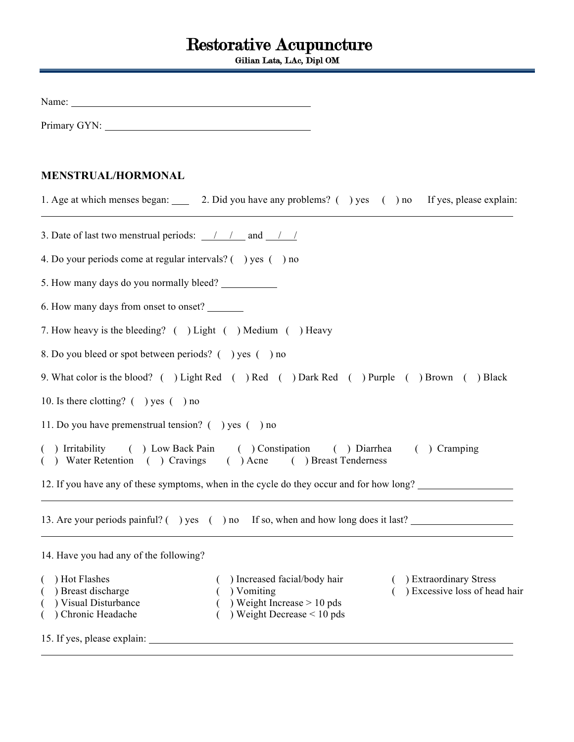# Restorative Acupuncture

Gilian Lata, LAc, Dipl OM

| Name: |  |  |  |
|-------|--|--|--|
|       |  |  |  |

Primary GYN:

### **MENSTRUAL/HORMONAL**

| 1. Age at which menses began: 2. Did you have any problems? () yes () no If yes, please explain:                                                                                                                                                                          |
|---------------------------------------------------------------------------------------------------------------------------------------------------------------------------------------------------------------------------------------------------------------------------|
| 3. Date of last two menstrual periods: $\frac{\ }{\ }$ / $\frac{\ }{\ }$ and $\frac{\ }{\ }$ /                                                                                                                                                                            |
| 4. Do your periods come at regular intervals? $($ ) yes $($ ) no                                                                                                                                                                                                          |
| 5. How many days do you normally bleed?                                                                                                                                                                                                                                   |
| 6. How many days from onset to onset?                                                                                                                                                                                                                                     |
| 7. How heavy is the bleeding? () Light () Medium () Heavy                                                                                                                                                                                                                 |
| 8. Do you bleed or spot between periods? () yes () no                                                                                                                                                                                                                     |
| 9. What color is the blood? ( ) Light Red ( ) Red ( ) Dark Red ( ) Purple ( ) Brown ( ) Black                                                                                                                                                                             |
| 10. Is there clotting? $($ $)$ yes $($ $)$ no                                                                                                                                                                                                                             |
| 11. Do you have premenstrual tension? $($ ) yes $($ ) no                                                                                                                                                                                                                  |
| ( ) Irritability ( ) Low Back Pain ( ) Constipation ( ) Diarrhea<br>( ) Cramping<br>( ) Water Retention ( ) Cravings ( ) Acne ( ) Breast Tenderness                                                                                                                       |
| 12. If you have any of these symptoms, when in the cycle do they occur and for how long?                                                                                                                                                                                  |
| 13. Are your periods painful? () yes () no If so, when and how long does it last?                                                                                                                                                                                         |
| 14. Have you had any of the following?                                                                                                                                                                                                                                    |
| ( ) Hot Flashes<br>) Increased facial/body hair<br>( ) Extraordinary Stress<br>( ) Vomiting<br>( ) Excessive loss of head hair<br>( ) Breast discharge<br>$($ ) Weight Increase > 10 pds<br>) Visual Disturbance<br>) Weight Decrease $\leq 10$ pds<br>) Chronic Headache |
| 15. If yes, please explain:                                                                                                                                                                                                                                               |